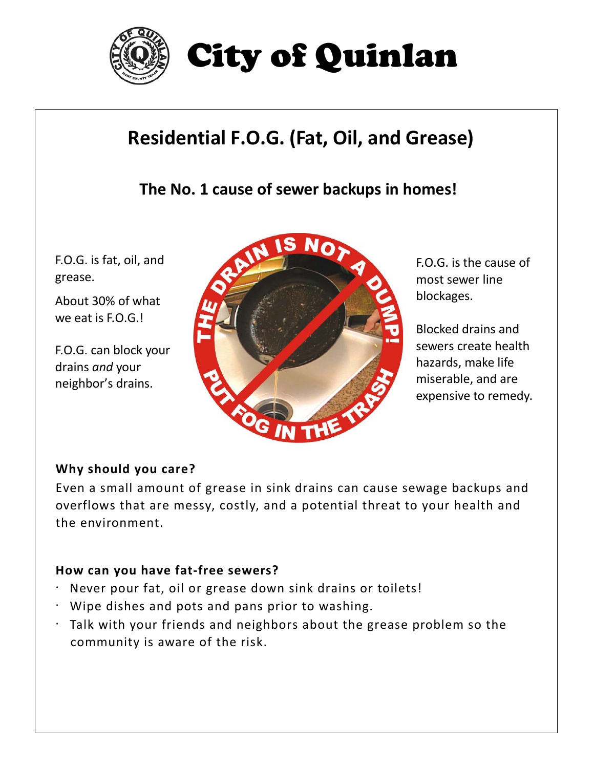

# City of Quinlan

# **Residential F.O.G. (Fat, Oil, and Grease)**

**The No. 1 cause of sewer backups in homes!**

F.O.G. is fat, oil, and grease.

About 30% of what we eat is F.O.G.!

F.O.G. can block your drains *and* your neighbor's drains.



F.O.G. is the cause of most sewer line blockages.

Blocked drains and sewers create health hazards, make life miserable, and are expensive to remedy.

## **Why should you care?**

Even a small amount of grease in sink drains can cause sewage backups and overflows that are messy, costly, and a potential threat to your health and the environment.

## **How can you have fat-free sewers?**

- · Never pour fat, oil or grease down sink drains or toilets!
- · Wipe dishes and pots and pans prior to washing.
- · Talk with your friends and neighbors about the grease problem so the community is aware of the risk.